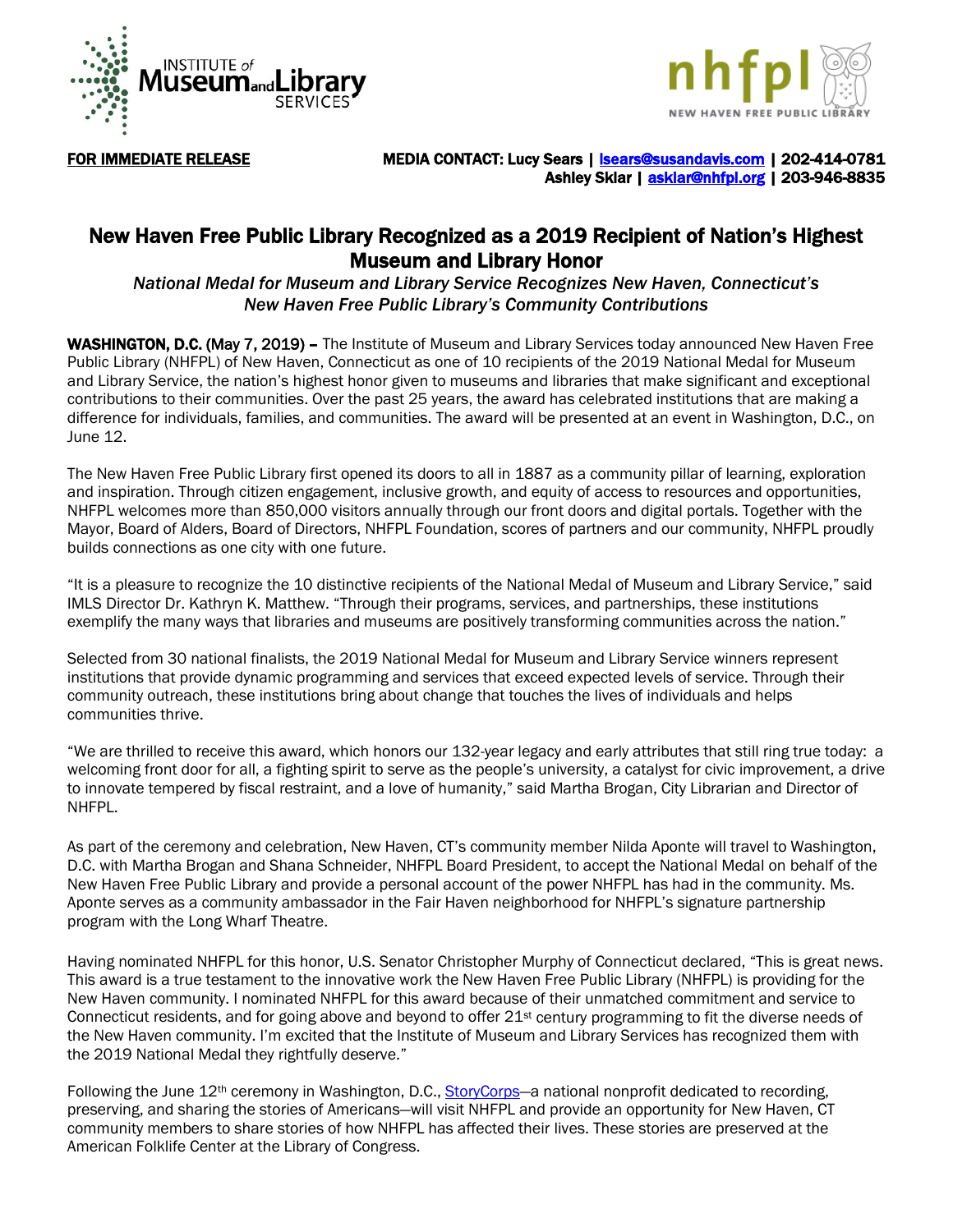



FOR IMMEDIATE RELEASE MEDIA CONTACT: Lucy Sears | Sears@susandavis.com | 202-414-0781 Ashley Sklar | [asklar@nhfpl.org](mailto:asklar@nhfpl.org) | 203-946-8835

## New Haven Free Public Library Recognized as a 2019 Recipient of Nation's Highest Museum and Library Honor

*National Medal for Museum and Library Service Recognizes New Haven, Connecticut's New Haven Free Public Library's Community Contributions*

WASHINGTON, D.C. (May 7, 2019) – The Institute of Museum and Library Services today announced New Haven Free Public Library (NHFPL) of New Haven, Connecticut as one of 10 recipients of the 2019 National Medal for Museum and Library Service, the nation's highest honor given to museums and libraries that make significant and exceptional contributions to their communities. Over the past 25 years, the award has celebrated institutions that are making a difference for individuals, families, and communities. The award will be presented at an event in Washington, D.C., on June 12.

The New Haven Free Public Library first opened its doors to all in 1887 as a community pillar of learning, exploration and inspiration. Through citizen engagement, inclusive growth, and equity of access to resources and opportunities, NHFPL welcomes more than 850,000 visitors annually through our front doors and digital portals. Together with the Mayor, Board of Alders, Board of Directors, NHFPL Foundation, scores of partners and our community, NHFPL proudly builds connections as one city with one future.

"It is a pleasure to recognize the 10 distinctive recipients of the National Medal of Museum and Library Service," said IMLS Director Dr. Kathryn K. Matthew. "Through their programs, services, and partnerships, these institutions exemplify the many ways that libraries and museums are positively transforming communities across the nation."

Selected from 30 national finalists, the 2019 National Medal for Museum and Library Service winners represent institutions that provide dynamic programming and services that exceed expected levels of service. Through their community outreach, these institutions bring about change that touches the lives of individuals and helps communities thrive.

"We are thrilled to receive this award, which honors our 132-year legacy and early attributes that still ring true today: a welcoming front door for all, a fighting spirit to serve as the people's university, a catalyst for civic improvement, a drive to innovate tempered by fiscal restraint, and a love of humanity," said Martha Brogan, City Librarian and Director of NHFPL.

As part of the ceremony and celebration, New Haven, CT's community member Nilda Aponte will travel to Washington, D.C. with Martha Brogan and Shana Schneider, NHFPL Board President, to accept the National Medal on behalf of the New Haven Free Public Library and provide a personal account of the power NHFPL has had in the community. Ms. Aponte serves as a community ambassador in the Fair Haven neighborhood for NHFPL's signature partnership program with the Long Wharf Theatre.

Having nominated NHFPL for this honor, U.S. Senator Christopher Murphy of Connecticut declared, "This is great news. This award is a true testament to the innovative work the New Haven Free Public Library (NHFPL) is providing for the New Haven community. I nominated NHFPL for this award because of their unmatched commitment and service to Connecticut residents, and for going above and beyond to offer 21<sup>st</sup> century programming to fit the diverse needs of the New Haven community. I'm excited that the Institute of Museum and Library Services has recognized them with the 2019 National Medal they rightfully deserve."

Following the June 12<sup>th</sup> ceremony in Washington, D.C., **StoryCorps**—a national nonprofit dedicated to recording, preserving, and sharing the stories of Americans—will visit NHFPL and provide an opportunity for New Haven, CT community members to share stories of how NHFPL has affected their lives. These stories are preserved at the American Folklife Center at the Library of Congress.